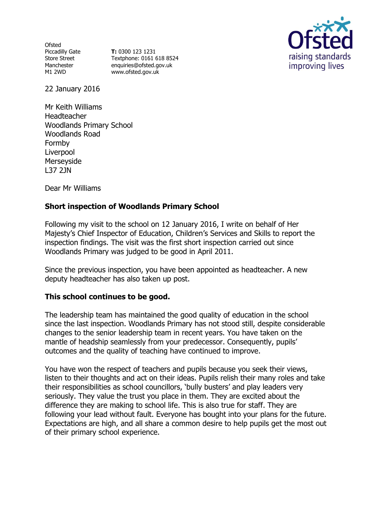Ofsted Piccadilly Gate Store Street Manchester M1 2WD

**T:** 0300 123 1231 Textphone: 0161 618 8524 enquiries@ofsted.gov.uk www.ofsted.gov.uk



22 January 2016

Mr Keith Williams Headteacher Woodlands Primary School Woodlands Road Formby Liverpool Merseyside L37 2JN

Dear Mr Williams

# **Short inspection of Woodlands Primary School**

Following my visit to the school on 12 January 2016, I write on behalf of Her Majesty's Chief Inspector of Education, Children's Services and Skills to report the inspection findings. The visit was the first short inspection carried out since Woodlands Primary was judged to be good in April 2011.

Since the previous inspection, you have been appointed as headteacher. A new deputy headteacher has also taken up post.

### **This school continues to be good.**

The leadership team has maintained the good quality of education in the school since the last inspection. Woodlands Primary has not stood still, despite considerable changes to the senior leadership team in recent years. You have taken on the mantle of headship seamlessly from your predecessor. Consequently, pupils' outcomes and the quality of teaching have continued to improve.

You have won the respect of teachers and pupils because you seek their views, listen to their thoughts and act on their ideas. Pupils relish their many roles and take their responsibilities as school councillors, 'bully busters' and play leaders very seriously. They value the trust you place in them. They are excited about the difference they are making to school life. This is also true for staff. They are following your lead without fault. Everyone has bought into your plans for the future. Expectations are high, and all share a common desire to help pupils get the most out of their primary school experience.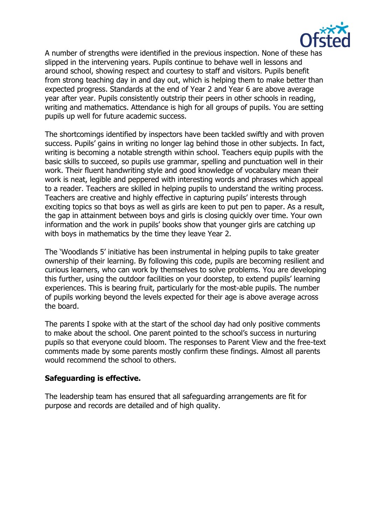

A number of strengths were identified in the previous inspection. None of these has slipped in the intervening years. Pupils continue to behave well in lessons and around school, showing respect and courtesy to staff and visitors. Pupils benefit from strong teaching day in and day out, which is helping them to make better than expected progress. Standards at the end of Year 2 and Year 6 are above average year after year. Pupils consistently outstrip their peers in other schools in reading, writing and mathematics. Attendance is high for all groups of pupils. You are setting pupils up well for future academic success.

The shortcomings identified by inspectors have been tackled swiftly and with proven success. Pupils' gains in writing no longer lag behind those in other subjects. In fact, writing is becoming a notable strength within school. Teachers equip pupils with the basic skills to succeed, so pupils use grammar, spelling and punctuation well in their work. Their fluent handwriting style and good knowledge of vocabulary mean their work is neat, legible and peppered with interesting words and phrases which appeal to a reader. Teachers are skilled in helping pupils to understand the writing process. Teachers are creative and highly effective in capturing pupils' interests through exciting topics so that boys as well as girls are keen to put pen to paper. As a result, the gap in attainment between boys and girls is closing quickly over time. Your own information and the work in pupils' books show that younger girls are catching up with boys in mathematics by the time they leave Year 2.

The 'Woodlands 5' initiative has been instrumental in helping pupils to take greater ownership of their learning. By following this code, pupils are becoming resilient and curious learners, who can work by themselves to solve problems. You are developing this further, using the outdoor facilities on your doorstep, to extend pupils' learning experiences. This is bearing fruit, particularly for the most-able pupils. The number of pupils working beyond the levels expected for their age is above average across the board.

The parents I spoke with at the start of the school day had only positive comments to make about the school. One parent pointed to the school's success in nurturing pupils so that everyone could bloom. The responses to Parent View and the free-text comments made by some parents mostly confirm these findings. Almost all parents would recommend the school to others.

#### **Safeguarding is effective.**

The leadership team has ensured that all safeguarding arrangements are fit for purpose and records are detailed and of high quality.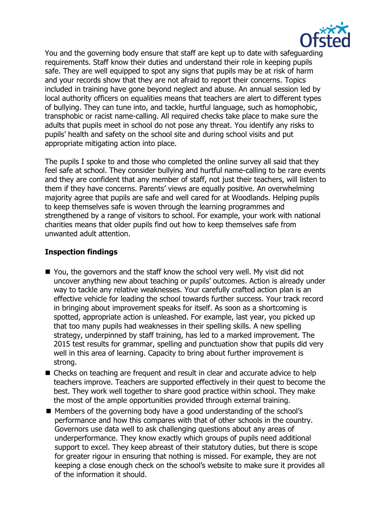

You and the governing body ensure that staff are kept up to date with safeguarding requirements. Staff know their duties and understand their role in keeping pupils safe. They are well equipped to spot any signs that pupils may be at risk of harm and your records show that they are not afraid to report their concerns. Topics included in training have gone beyond neglect and abuse. An annual session led by local authority officers on equalities means that teachers are alert to different types of bullying. They can tune into, and tackle, hurtful language, such as homophobic, transphobic or racist name-calling. All required checks take place to make sure the adults that pupils meet in school do not pose any threat. You identify any risks to pupils' health and safety on the school site and during school visits and put appropriate mitigating action into place.

The pupils I spoke to and those who completed the online survey all said that they feel safe at school. They consider bullying and hurtful name-calling to be rare events and they are confident that any member of staff, not just their teachers, will listen to them if they have concerns. Parents' views are equally positive. An overwhelming majority agree that pupils are safe and well cared for at Woodlands. Helping pupils to keep themselves safe is woven through the learning programmes and strengthened by a range of visitors to school. For example, your work with national charities means that older pupils find out how to keep themselves safe from unwanted adult attention.

### **Inspection findings**

- You, the governors and the staff know the school very well. My visit did not uncover anything new about teaching or pupils' outcomes. Action is already under way to tackle any relative weaknesses. Your carefully crafted action plan is an effective vehicle for leading the school towards further success. Your track record in bringing about improvement speaks for itself. As soon as a shortcoming is spotted, appropriate action is unleashed. For example, last year, you picked up that too many pupils had weaknesses in their spelling skills. A new spelling strategy, underpinned by staff training, has led to a marked improvement. The 2015 test results for grammar, spelling and punctuation show that pupils did very well in this area of learning. Capacity to bring about further improvement is strong.
- Checks on teaching are frequent and result in clear and accurate advice to help teachers improve. Teachers are supported effectively in their quest to become the best. They work well together to share good practice within school. They make the most of the ample opportunities provided through external training.
- Members of the governing body have a good understanding of the school's performance and how this compares with that of other schools in the country. Governors use data well to ask challenging questions about any areas of underperformance. They know exactly which groups of pupils need additional support to excel. They keep abreast of their statutory duties, but there is scope for greater rigour in ensuring that nothing is missed. For example, they are not keeping a close enough check on the school's website to make sure it provides all of the information it should.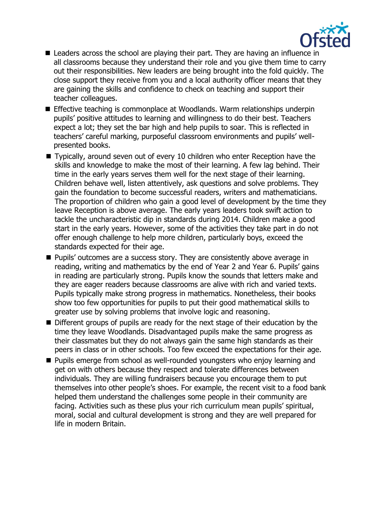

- Leaders across the school are playing their part. They are having an influence in all classrooms because they understand their role and you give them time to carry out their responsibilities. New leaders are being brought into the fold quickly. The close support they receive from you and a local authority officer means that they are gaining the skills and confidence to check on teaching and support their teacher colleagues.
- Effective teaching is commonplace at Woodlands. Warm relationships underpin pupils' positive attitudes to learning and willingness to do their best. Teachers expect a lot; they set the bar high and help pupils to soar. This is reflected in teachers' careful marking, purposeful classroom environments and pupils' wellpresented books.
- Typically, around seven out of every 10 children who enter Reception have the skills and knowledge to make the most of their learning. A few lag behind. Their time in the early years serves them well for the next stage of their learning. Children behave well, listen attentively, ask questions and solve problems. They gain the foundation to become successful readers, writers and mathematicians. The proportion of children who gain a good level of development by the time they leave Reception is above average. The early years leaders took swift action to tackle the uncharacteristic dip in standards during 2014. Children make a good start in the early years. However, some of the activities they take part in do not offer enough challenge to help more children, particularly boys, exceed the standards expected for their age.
- **Pupils'** outcomes are a success story. They are consistently above average in reading, writing and mathematics by the end of Year 2 and Year 6. Pupils' gains in reading are particularly strong. Pupils know the sounds that letters make and they are eager readers because classrooms are alive with rich and varied texts. Pupils typically make strong progress in mathematics. Nonetheless, their books show too few opportunities for pupils to put their good mathematical skills to greater use by solving problems that involve logic and reasoning.
- Different groups of pupils are ready for the next stage of their education by the time they leave Woodlands. Disadvantaged pupils make the same progress as their classmates but they do not always gain the same high standards as their peers in class or in other schools. Too few exceed the expectations for their age.
- **Pupils emerge from school as well-rounded youngsters who enjoy learning and** get on with others because they respect and tolerate differences between individuals. They are willing fundraisers because you encourage them to put themselves into other people's shoes. For example, the recent visit to a food bank helped them understand the challenges some people in their community are facing. Activities such as these plus your rich curriculum mean pupils' spiritual, moral, social and cultural development is strong and they are well prepared for life in modern Britain.